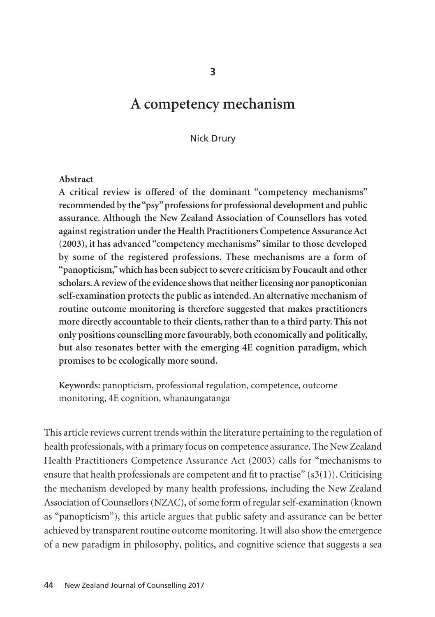# **A competency mechanism**

Nick Drury

#### **Abstract**

**A critical review is offered of the dominant "competency mechanisms" recommended by the "psy" professions for professional development and public assurance. Although the New Zealand Association of Counsellors has voted against registration under the Health Practitioners Competence Assurance Act (2003), it has advanced "competency mechanisms" similar to those developed by some of the registered professions. These mechanisms are a form of "panopticism," which has been subject to severe criticism by Foucault and other scholars. A review of the evidence shows that neither licensing nor panopticonian self-examination protects the public as intended. An alternative mechanism of routine outcome monitoring is therefore suggested that makes practitioners more directly accountable to their clients, rather than to a third party. This not only positions counselling more favourably, both economically and politically, but also resonates better with the emerging 4E cognition paradigm, which promises to be ecologically more sound.**

**Keywords:** panopticism, professional regulation, competence, outcome monitoring, 4E cognition, whanaungatanga

This article reviews current trends within the literature pertaining to the regulation of health professionals, with a primary focus on competence assurance. The New Zealand Health Practitioners Competence Assurance Act (2003) calls for "mechanisms to ensure that health professionals are competent and fit to practise"  $(s3(1))$ . Criticising the mechanism developed by many health professions, including the New Zealand Association of Counsellors (NZAC), of some form of regular self-examination (known as "panopticism"), this article argues that public safety and assurance can be better achieved by transparent routine outcome monitoring. It will also show the emergence of a new paradigm in philosophy, politics, and cognitive science that suggests a sea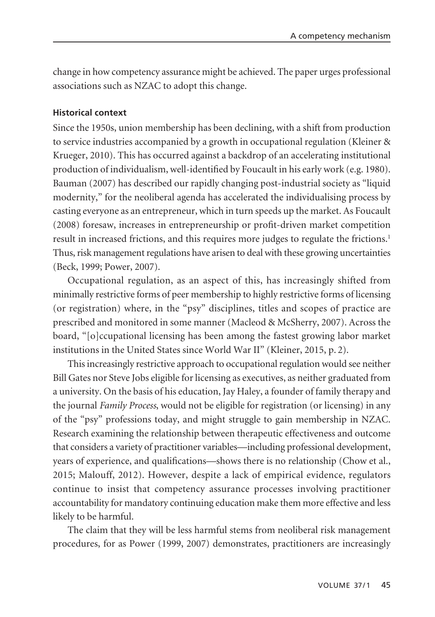change in how competency assurance might be achieved. The paper urges professional associations such as NZAC to adopt this change.

# **Historical context**

Since the 1950s, union membership has been declining, with a shift from production to service industries accompanied by a growth in occupational regulation (Kleiner & Krueger, 2010). This has occurred against a backdrop of an accelerating institutional production of individualism, well-identified by Foucault in his early work (e.g. 1980). Bauman (2007) has described our rapidly changing post-industrial society as "liquid modernity," for the neoliberal agenda has accelerated the individualising process by casting everyone as an entrepreneur, which in turn speeds up the market. As Foucault (2008) foresaw, increases in entrepreneurship or profit-driven market competition result in increased frictions, and this requires more judges to regulate the frictions.<sup>1</sup> Thus, risk management regulations have arisen to deal with these growing uncertainties (Beck, 1999; Power, 2007).

Occupational regulation, as an aspect of this, has increasingly shifted from minimally restrictive forms of peer membership to highly restrictive forms of licensing (or registration) where, in the "psy" disciplines, titles and scopes of practice are prescribed and monitored in some manner (Macleod & McSherry, 2007). Across the board, "[o]ccupational licensing has been among the fastest growing labor market institutions in the United States since World War II" (Kleiner, 2015, p. 2).

This increasingly restrictive approach to occupational regulation would see neither Bill Gates nor Steve Jobs eligible for licensing as executives, as neither graduated from a university. On the basis of his education, Jay Haley, a founder of family therapy and the journal *Family Process*, would not be eligible for registration (or licensing) in any of the "psy" professions today, and might struggle to gain membership in NZAC. Research examining the relationship between therapeutic effectiveness and outcome that considers a variety of practitioner variables—including professional development, years of experience, and qualifications—shows there is no relationship (Chow et al., 2015; Malouff, 2012). However, despite a lack of empirical evidence, regulators continue to insist that competency assurance processes involving practitioner accountability for mandatory continuing education make them more effective and less likely to be harmful.

The claim that they will be less harmful stems from neoliberal risk management procedures, for as Power (1999, 2007) demonstrates, practitioners are increasingly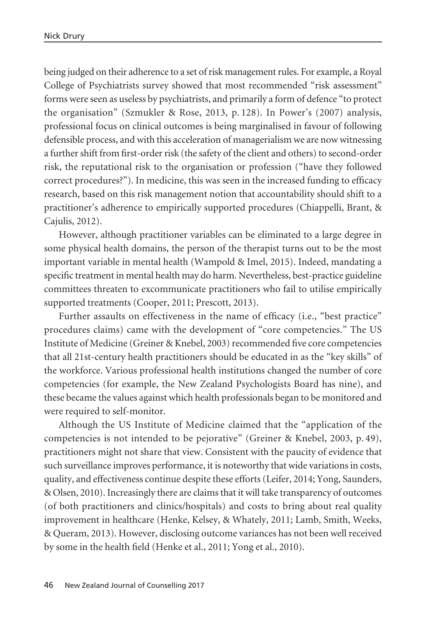being judged on their adherence to a set of risk management rules. For example, a Royal College of Psychiatrists survey showed that most recommended "risk assessment" forms were seen as useless by psychiatrists, and primarily a form of defence "to protect the organisation" (Szmukler & Rose, 2013, p. 128). In Power's (2007) analysis, professional focus on clinical outcomes is being marginalised in favour of following defensible process, and with this acceleration of managerialism we are now witnessing a further shift from first-order risk (the safety of the client and others) to second-order risk, the reputational risk to the organisation or profession ("have they followed correct procedures?"). In medicine, this was seen in the increased funding to efficacy research, based on this risk management notion that accountability should shift to a practitioner's adherence to empirically supported procedures (Chiappelli, Brant, & Cajulis, 2012).

However, although practitioner variables can be eliminated to a large degree in some physical health domains, the person of the therapist turns out to be the most important variable in mental health (Wampold & Imel, 2015). Indeed, mandating a specific treatment in mental health may do harm. Nevertheless, best-practice guideline committees threaten to excommunicate practitioners who fail to utilise empirically supported treatments (Cooper, 2011; Prescott, 2013).

Further assaults on effectiveness in the name of efficacy (i.e., "best practice" procedures claims) came with the development of "core competencies." The US Institute of Medicine (Greiner & Knebel, 2003) recommended five core competencies that all 21st-century health practitioners should be educated in as the "key skills" of the workforce. Various professional health institutions changed the number of core competencies (for example, the New Zealand Psychologists Board has nine), and these became the values against which health professionals began to be monitored and were required to self-monitor.

Although the US Institute of Medicine claimed that the "application of the competencies is not intended to be pejorative" (Greiner & Knebel, 2003, p. 49), practitioners might not share that view. Consistent with the paucity of evidence that such surveillance improves performance, it is noteworthy that wide variations in costs, quality, and effectiveness continue despite these efforts (Leifer, 2014; Yong, Saunders, & Olsen, 2010). Increasingly there are claims that it will take transparency of outcomes (of both practitioners and clinics/hospitals) and costs to bring about real quality improvement in healthcare (Henke, Kelsey, & Whately, 2011; Lamb, Smith, Weeks, & Queram, 2013). However, disclosing outcome variances has not been well received by some in the health field (Henke et al., 2011; Yong et al., 2010).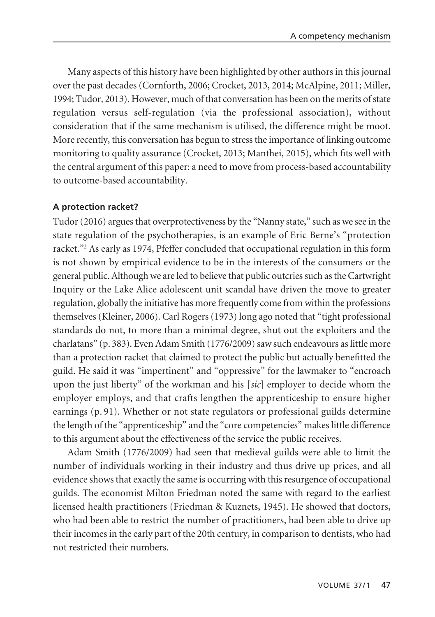Many aspects of this history have been highlighted by other authors in this journal over the past decades (Cornforth, 2006; Crocket, 2013, 2014; McAlpine, 2011; Miller, 1994; Tudor, 2013). However, much of that conversation has been on the merits of state regulation versus self-regulation (via the professional association), without consideration that if the same mechanism is utilised, the difference might be moot. More recently, this conversation has begun to stress the importance of linking outcome monitoring to quality assurance (Crocket, 2013; Manthei, 2015), which fits well with the central argument of this paper: a need to move from process-based accountability to outcome-based accountability.

### **A protection racket?**

Tudor (2016) argues that overprotectiveness by the "Nanny state," such as we see in the state regulation of the psychotherapies, is an example of Eric Berne's "protection racket."2 As early as 1974, Pfeffer concluded that occupational regulation in this form is not shown by empirical evidence to be in the interests of the consumers or the general public. Although we are led to believe that public outcries such as the Cartwright Inquiry or the Lake Alice adolescent unit scandal have driven the move to greater regulation, globally the initiative has more frequently come from within the professions themselves (Kleiner, 2006). Carl Rogers (1973) long ago noted that "tight professional standards do not, to more than a minimal degree, shut out the exploiters and the charlatans" (p. 383). Even Adam Smith (1776/2009) saw such endeavours as little more than a protection racket that claimed to protect the public but actually benefitted the guild. He said it was "impertinent" and "oppressive" for the lawmaker to "encroach upon the just liberty" of the workman and his [*sic*] employer to decide whom the employer employs, and that crafts lengthen the apprenticeship to ensure higher earnings (p. 91). Whether or not state regulators or professional guilds determine the length of the "apprenticeship" and the "core competencies" makes little difference to this argument about the effectiveness of the service the public receives.

Adam Smith (1776/2009) had seen that medieval guilds were able to limit the number of individuals working in their industry and thus drive up prices, and all evidence shows that exactly the same is occurring with this resurgence of occupational guilds. The economist Milton Friedman noted the same with regard to the earliest licensed health practitioners (Friedman & Kuznets, 1945). He showed that doctors, who had been able to restrict the number of practitioners, had been able to drive up their incomes in the early part of the 20th century, in comparison to dentists, who had not restricted their numbers.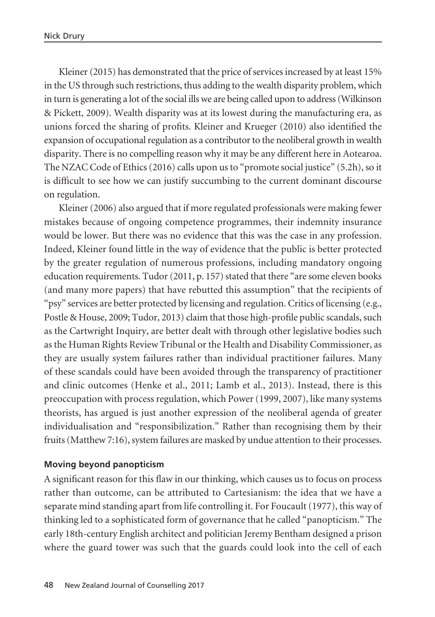Kleiner (2015) has demonstrated that the price of services increased by at least 15% in the US through such restrictions, thus adding to the wealth disparity problem, which in turn is generating a lot of the social ills we are being called upon to address (Wilkinson & Pickett, 2009). Wealth disparity was at its lowest during the manufacturing era, as unions forced the sharing of profits. Kleiner and Krueger (2010) also identified the expansion of occupational regulation as a contributor to the neoliberal growth in wealth disparity. There is no compelling reason why it may be any different here in Aotearoa. The NZAC Code of Ethics (2016) calls upon us to "promote social justice" (5.2h), so it is difficult to see how we can justify succumbing to the current dominant discourse on regulation.

Kleiner (2006) also argued that if more regulated professionals were making fewer mistakes because of ongoing competence programmes, their indemnity insurance would be lower. But there was no evidence that this was the case in any profession. Indeed, Kleiner found little in the way of evidence that the public is better protected by the greater regulation of numerous professions, including mandatory ongoing education requirements. Tudor (2011, p. 157) stated that there "are some eleven books (and many more papers) that have rebutted this assumption" that the recipients of "psy" services are better protected by licensing and regulation. Critics of licensing (e.g., Postle & House, 2009; Tudor, 2013) claim that those high-profile public scandals, such as the Cartwright Inquiry, are better dealt with through other legislative bodies such as the Human Rights Review Tribunal or the Health and Disability Commissioner, as they are usually system failures rather than individual practitioner failures. Many of these scandals could have been avoided through the transparency of practitioner and clinic outcomes (Henke et al., 2011; Lamb et al., 2013). Instead, there is this preoccupation with process regulation, which Power (1999, 2007), like many systems theorists, has argued is just another expression of the neoliberal agenda of greater individualisation and "responsibilization." Rather than recognising them by their fruits (Matthew 7:16), system failures are masked by undue attention to their processes.

### **Moving beyond panopticism**

A significant reason for this flaw in our thinking, which causes us to focus on process rather than outcome, can be attributed to Cartesianism: the idea that we have a separate mind standing apart from life controlling it. For Foucault (1977), this way of thinking led to a sophisticated form of governance that he called "panopticism." The early 18th-century English architect and politician Jeremy Bentham designed a prison where the guard tower was such that the guards could look into the cell of each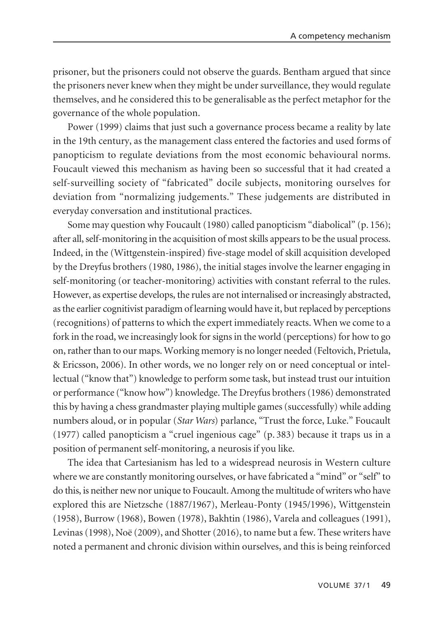prisoner, but the prisoners could not observe the guards. Bentham argued that since the prisoners never knew when they might be under surveillance, they would regulate themselves, and he considered this to be generalisable as the perfect metaphor for the governance of the whole population.

Power (1999) claims that just such a governance process became a reality by late in the 19th century, as the management class entered the factories and used forms of panopticism to regulate deviations from the most economic behavioural norms. Foucault viewed this mechanism as having been so successful that it had created a self-surveilling society of "fabricated" docile subjects, monitoring ourselves for deviation from "normalizing judgements." These judgements are distributed in everyday conversation and institutional practices.

Some may question why Foucault (1980) called panopticism "diabolical" (p. 156); after all, self-monitoring in the acquisition of most skills appears to be the usual process. Indeed, in the (Wittgenstein-inspired) five-stage model of skill acquisition developed by the Dreyfus brothers (1980, 1986), the initial stages involve the learner engaging in self-monitoring (or teacher-monitoring) activities with constant referral to the rules. However, as expertise develops, the rules are not internalised or increasingly abstracted, as the earlier cognitivist paradigm of learning would have it, but replaced by perceptions (recognitions) of patterns to which the expert immediately reacts. When we come to a fork in the road, we increasingly look for signs in the world (perceptions) for how to go on, rather than to our maps. Working memory is no longer needed (Feltovich, Prietula, & Ericsson, 2006). In other words, we no longer rely on or need conceptual or intellectual ("know that") knowledge to perform some task, but instead trust our intuition or performance ("know how") knowledge. The Dreyfus brothers (1986) demonstrated this by having a chess grandmaster playing multiple games (successfully) while adding numbers aloud, or in popular (*Star Wars*) parlance, "Trust the force, Luke." Foucault (1977) called panopticism a "cruel ingenious cage" (p. 383) because it traps us in a position of permanent self-monitoring, a neurosis if you like.

The idea that Cartesianism has led to a widespread neurosis in Western culture where we are constantly monitoring ourselves, or have fabricated a "mind" or "self" to do this, is neither new nor unique to Foucault. Among the multitude of writers who have explored this are Nietzsche (1887/1967), Merleau-Ponty (1945/1996), Wittgenstein (1958), Burrow (1968), Bowen (1978), Bakhtin (1986), Varela and colleagues (1991), Levinas (1998), Noë (2009), and Shotter (2016), to name but a few. These writers have noted a permanent and chronic division within ourselves, and this is being reinforced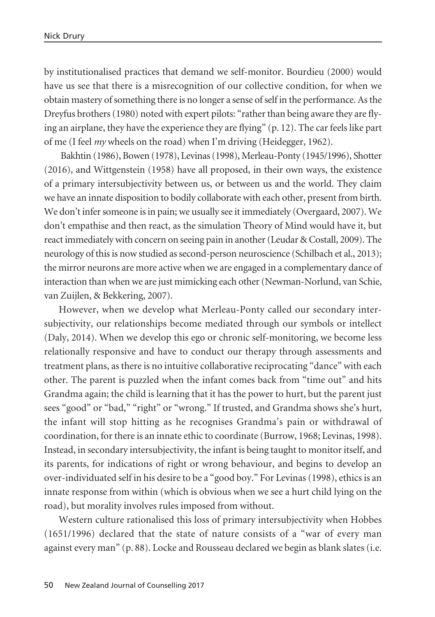by institutionalised practices that demand we self-monitor. Bourdieu (2000) would have us see that there is a misrecognition of our collective condition, for when we obtain mastery of something there is no longer a sense of self in the performance. As the Dreyfus brothers (1980) noted with expert pilots: "rather than being aware they are flying an airplane, they have the experience they are flying" (p. 12). The car feels like part of me (I feel *my* wheels on the road) when I'm driving (Heidegger, 1962).

Bakhtin (1986), Bowen (1978), Levinas (1998), Merleau-Ponty (1945/1996), Shotter (2016), and Wittgenstein (1958) have all proposed, in their own ways, the existence of a primary intersubjectivity between us, or between us and the world. They claim we have an innate disposition to bodily collaborate with each other, present from birth. We don't infer someone is in pain; we usually see it immediately (Overgaard, 2007). We don't empathise and then react, as the simulation Theory of Mind would have it, but react immediately with concern on seeing pain in another (Leudar & Costall, 2009). The neurology of this is now studied as second-person neuroscience (Schilbach et al., 2013); the mirror neurons are more active when we are engaged in a complementary dance of interaction than when we are just mimicking each other (Newman-Norlund, van Schie, van Zuijlen, & Bekkering, 2007).

However, when we develop what Merleau-Ponty called our secondary inter subjectivity, our relationships become mediated through our symbols or intellect (Daly, 2014). When we develop this ego or chronic self-monitoring, we become less relationally responsive and have to conduct our therapy through assessments and treatment plans, as there is no intuitive collaborative reciprocating "dance" with each other. The parent is puzzled when the infant comes back from "time out" and hits Grandma again; the child is learning that it has the power to hurt, but the parent just sees "good" or "bad," "right" or "wrong." If trusted, and Grandma shows she's hurt, the infant will stop hitting as he recognises Grandma's pain or withdrawal of coordination, for there is an innate ethic to coordinate (Burrow, 1968; Levinas, 1998). Instead, in secondary intersubjectivity, the infant is being taught to monitor itself, and its parents, for indications of right or wrong behaviour, and begins to develop an over-individuated self in his desire to be a "good boy." For Levinas (1998), ethics is an innate response from within (which is obvious when we see a hurt child lying on the road), but morality involves rules imposed from without.

Western culture rationalised this loss of primary intersubjectivity when Hobbes (1651/1996) declared that the state of nature consists of a "war of every man against every man" (p. 88). Locke and Rousseau declared we begin as blank slates (i.e.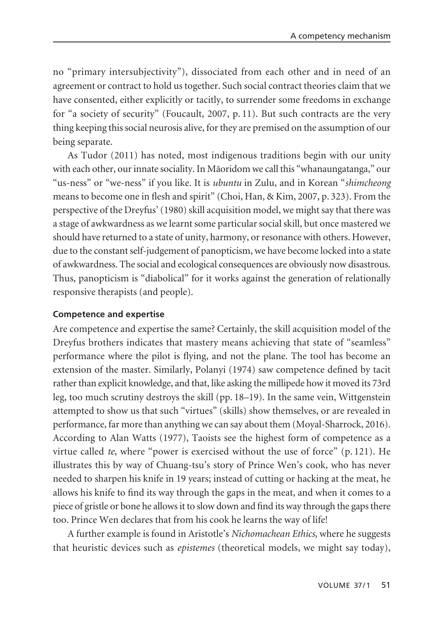no "primary intersubjectivity"), dissociated from each other and in need of an agreement or contract to hold us together. Such social contract theories claim that we have consented, either explicitly or tacitly, to surrender some freedoms in exchange for "a society of security" (Foucault, 2007, p. 11). But such contracts are the very thing keeping this social neurosis alive, for they are premised on the assumption of our being separate.

As Tudor (2011) has noted, most indigenous traditions begin with our unity with each other, our innate sociality. In Mäoridom we call this "whanaungatanga," our "us-ness" or "we-ness" if you like. It is *ubuntu* in Zulu, and in Korean "*shimcheong* means to become one in flesh and spirit" (Choi, Han, & Kim, 2007, p. 323). From the perspective of the Dreyfus' (1980) skill acquisition model, we might say that there was a stage of awkwardness as we learnt some particular social skill, but once mastered we should have returned to a state of unity, harmony, or resonance with others. However, due to the constant self-judgement of panopticism, we have become locked into a state of awkwardness. The social and ecological consequences are obviously now disastrous. Thus, panopticism is "diabolical" for it works against the generation of relationally responsive therapists (and people).

### **Competence and expertise**

Are competence and expertise the same? Certainly, the skill acquisition model of the Dreyfus brothers indicates that mastery means achieving that state of "seamless" performance where the pilot is flying, and not the plane. The tool has become an extension of the master. Similarly, Polanyi (1974) saw competence defined by tacit rather than explicit knowledge, and that, like asking the millipede how it moved its 73rd leg, too much scrutiny destroys the skill (pp. 18–19). In the same vein, Wittgenstein attempted to show us that such "virtues" (skills) show themselves, or are revealed in performance, far more than anything we can say about them (Moyal-Sharrock, 2016). According to Alan Watts (1977), Taoists see the highest form of competence as a virtue called *te*, where "power is exercised without the use of force" (p. 121). He illustrates this by way of Chuang-tsu's story of Prince Wen's cook, who has never needed to sharpen his knife in 19 years; instead of cutting or hacking at the meat, he allows his knife to find its way through the gaps in the meat, and when it comes to a piece of gristle or bone he allows it to slow down and find its way through the gaps there too. Prince Wen declares that from his cook he learns the way of life!

A further example is found in Aristotle's *Nichomachean Ethics*, where he suggests that heuristic devices such as *epistemes* (theoretical models, we might say today),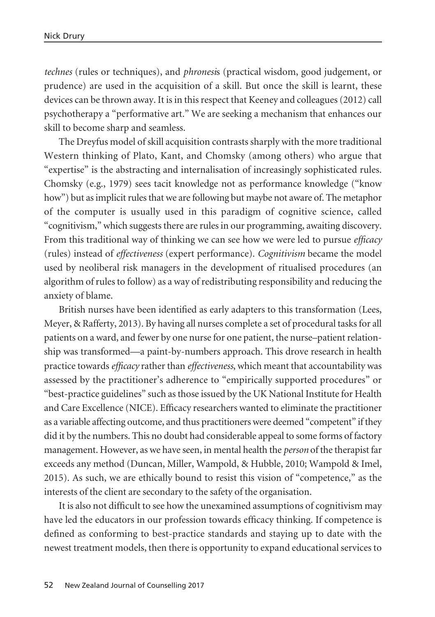*technes* (rules or techniques), and *phronesi*s (practical wisdom, good judgement, or prudence) are used in the acquisition of a skill. But once the skill is learnt, these devices can be thrown away. It is in this respect that Keeney and colleagues (2012) call psychotherapy a "performative art." We are seeking a mechanism that enhances our skill to become sharp and seamless.

The Dreyfus model of skill acquisition contrasts sharply with the more traditional Western thinking of Plato, Kant, and Chomsky (among others) who argue that "expertise" is the abstracting and internalisation of increasingly sophisticated rules. Chomsky (e.g., 1979) sees tacit knowledge not as performance knowledge ("know how") but as implicit rules that we are following but maybe not aware of. The metaphor of the computer is usually used in this paradigm of cognitive science, called "cognitivism," which suggests there are rules in our programming, awaiting discovery. From this traditional way of thinking we can see how we were led to pursue *efficacy* (rules) instead of *effectiveness* (expert performance). *Cognitivism* became the model used by neoliberal risk managers in the development of ritualised procedures (an algorithm of rules to follow) as a way of redistributing responsibility and reducing the anxiety of blame.

British nurses have been identified as early adapters to this transformation (Lees, Meyer, & Rafferty, 2013). By having all nurses complete a set of procedural tasks for all patients on a ward, and fewer by one nurse for one patient, the nurse–patient relationship was transformed—a paint-by-numbers approach. This drove research in health practice towards *efficacy* rather than *effectiveness*, which meant that accountability was assessed by the practitioner's adherence to "empirically supported procedures" or "best-practice guidelines" such as those issued by the UK National Institute for Health and Care Excellence (NICE). Efficacy researchers wanted to eliminate the practitioner as a variable affecting outcome, and thus practitioners were deemed "competent" if they did it by the numbers. This no doubt had considerable appeal to some forms of factory management. However, as we have seen, in mental health the *person* of the therapist far exceeds any method (Duncan, Miller, Wampold, & Hubble, 2010; Wampold & Imel, 2015). As such, we are ethically bound to resist this vision of "competence," as the interests of the client are secondary to the safety of the organisation.

It is also not difficult to see how the unexamined assumptions of cognitivism may have led the educators in our profession towards efficacy thinking. If competence is defined as conforming to best-practice standards and staying up to date with the newest treatment models, then there is opportunity to expand educational services to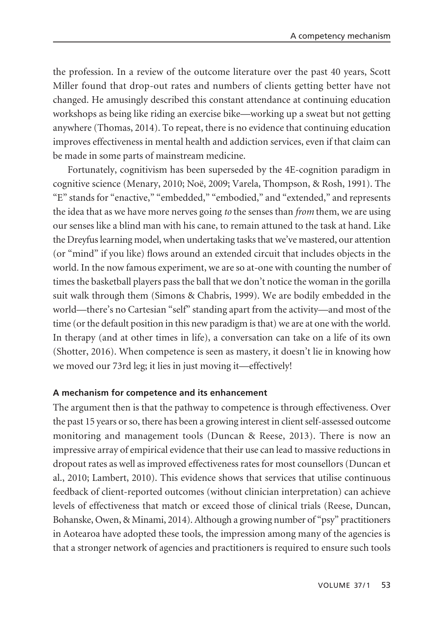the profession. In a review of the outcome literature over the past 40 years, Scott Miller found that drop-out rates and numbers of clients getting better have not changed. He amusingly described this constant attendance at continuing education workshops as being like riding an exercise bike—working up a sweat but not getting anywhere (Thomas, 2014). To repeat, there is no evidence that continuing education improves effectiveness in mental health and addiction services, even if that claim can be made in some parts of mainstream medicine.

Fortunately, cognitivism has been superseded by the 4E-cognition paradigm in cognitive science (Menary, 2010; Noë, 2009; Varela, Thompson, & Rosh, 1991). The "E" stands for "enactive," "embedded," "embodied," and "extended," and represents the idea that as we have more nerves going *to* the senses than *from* them, we are using our senses like a blind man with his cane, to remain attuned to the task at hand. Like the Dreyfus learning model, when undertaking tasks that we've mastered, our attention (or "mind" if you like) flows around an extended circuit that includes objects in the world. In the now famous experiment, we are so at-one with counting the number of times the basketball players pass the ball that we don't notice the woman in the gorilla suit walk through them (Simons & Chabris, 1999). We are bodily embedded in the world—there's no Cartesian "self" standing apart from the activity—and most of the time (or the default position in this new paradigm is that) we are at one with the world. In therapy (and at other times in life), a conversation can take on a life of its own (Shotter, 2016). When competence is seen as mastery, it doesn't lie in knowing how we moved our 73rd leg; it lies in just moving it—effectively!

### **A mechanism for competence and its enhancement**

The argument then is that the pathway to competence is through effectiveness. Over the past 15 years or so, there has been a growing interest in client self-assessed outcome monitoring and management tools (Duncan & Reese, 2013). There is now an impressive array of empirical evidence that their use can lead to massive reductions in dropout rates as well as improved effectiveness rates for most counsellors (Duncan et al., 2010; Lambert, 2010). This evidence shows that services that utilise continuous feedback of client-reported outcomes (without clinician interpretation) can achieve levels of effectiveness that match or exceed those of clinical trials (Reese, Duncan, Bohanske, Owen, & Minami, 2014). Although a growing number of "psy" practitioners in Aotearoa have adopted these tools, the impression among many of the agencies is that a stronger network of agencies and practitioners is required to ensure such tools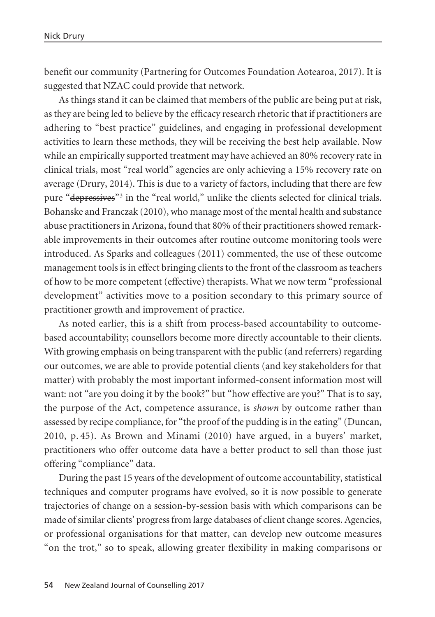benefit our community (Partnering for Outcomes Foundation Aotearoa, 2017). It is suggested that NZAC could provide that network.

As things stand it can be claimed that members of the public are being put at risk, as they are being led to believe by the efficacy research rhetoric that if practitioners are adhering to "best practice" guidelines, and engaging in professional development activities to learn these methods, they will be receiving the best help available. Now while an empirically supported treatment may have achieved an 80% recovery rate in clinical trials, most "real world" agencies are only achieving a 15% recovery rate on average (Drury, 2014). This is due to a variety of factors, including that there are few pure "depressives"3 in the "real world," unlike the clients selected for clinical trials. Bohanske and Franczak (2010), who manage most of the mental health and substance abuse practitioners in Arizona, found that 80% of their practitioners showed remark able improvements in their outcomes after routine outcome monitoring tools were introduced. As Sparks and colleagues (2011) commented, the use of these outcome management tools is in effect bringing clients to the front of the classroom as teachers of how to be more competent (effective) therapists. What we now term "professional development" activities move to a position secondary to this primary source of practitioner growth and improvement of practice.

As noted earlier, this is a shift from process-based accountability to outcomebased accountability; counsellors become more directly accountable to their clients. With growing emphasis on being transparent with the public (and referrers) regarding our outcomes, we are able to provide potential clients (and key stakeholders for that matter) with probably the most important informed-consent information most will want: not "are you doing it by the book?" but "how effective are you?" That is to say, the purpose of the Act, competence assurance, is *shown* by outcome rather than assessed by recipe compliance, for "the proof of the pudding is in the eating" (Duncan, 2010, p. 45). As Brown and Minami (2010) have argued, in a buyers' market, practitioners who offer outcome data have a better product to sell than those just offering "compliance" data.

During the past 15 years of the development of outcome accountability, statistical techniques and computer programs have evolved, so it is now possible to generate trajectories of change on a session-by-session basis with which comparisons can be made of similar clients' progress from large databases of client change scores. Agencies, or professional organisations for that matter, can develop new outcome measures "on the trot," so to speak, allowing greater flexibility in making comparisons or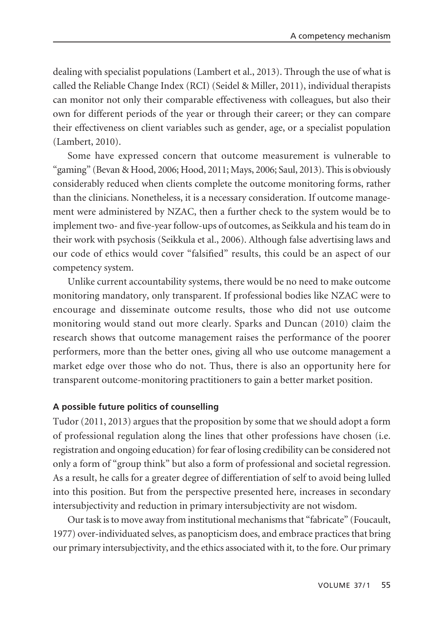dealing with specialist populations (Lambert et al., 2013). Through the use of what is called the Reliable Change Index (RCI) (Seidel & Miller, 2011), individual therapists can monitor not only their comparable effectiveness with colleagues, but also their own for different periods of the year or through their career; or they can compare their effectiveness on client variables such as gender, age, or a specialist population (Lambert, 2010).

Some have expressed concern that outcome measurement is vulnerable to "gaming" (Bevan & Hood, 2006; Hood, 2011; Mays, 2006; Saul, 2013). This is obviously considerably reduced when clients complete the outcome monitoring forms, rather than the clinicians. Nonetheless, it is a necessary consideration. If outcome manage ment were administered by NZAC, then a further check to the system would be to implement two- and five-year follow-ups of outcomes, as Seikkula and his team do in their work with psychosis (Seikkula et al., 2006). Although false advertising laws and our code of ethics would cover "falsified" results, this could be an aspect of our competency system.

Unlike current accountability systems, there would be no need to make outcome monitoring mandatory, only transparent. If professional bodies like NZAC were to encourage and disseminate outcome results, those who did not use outcome monitoring would stand out more clearly. Sparks and Duncan (2010) claim the research shows that outcome management raises the performance of the poorer performers, more than the better ones, giving all who use outcome management a market edge over those who do not. Thus, there is also an opportunity here for transparent outcome-monitoring practitioners to gain a better market position.

### **A possible future politics of counselling**

Tudor (2011, 2013) argues that the proposition by some that we should adopt a form of professional regulation along the lines that other professions have chosen (i.e. registration and ongoing education) for fear of losing credibility can be considered not only a form of "group think" but also a form of professional and societal regression. As a result, he calls for a greater degree of differentiation of self to avoid being lulled into this position. But from the perspective presented here, increases in secondary intersubjectivity and reduction in primary intersubjectivity are not wisdom.

Our task is to move away from institutional mechanisms that "fabricate" (Foucault, 1977) over-individuated selves, as panopticism does, and embrace practices that bring our primary intersubjectivity, and the ethics associated with it, to the fore. Our primary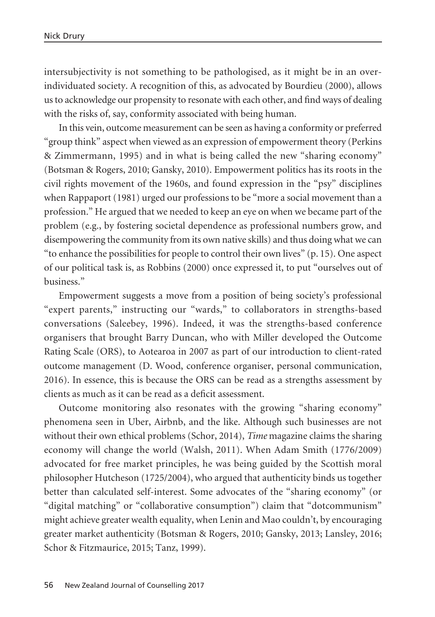intersubjectivity is not something to be pathologised, as it might be in an overindividuated society. A recognition of this, as advocated by Bourdieu (2000), allows us to acknowledge our propensity to resonate with each other, and find ways of dealing with the risks of, say, conformity associated with being human.

In this vein, outcome measurement can be seen as having a conformity or preferred "group think" aspect when viewed as an expression of empowerment theory (Perkins & Zimmermann, 1995) and in what is being called the new "sharing economy" (Botsman & Rogers, 2010; Gansky, 2010). Empowerment politics has its roots in the civil rights movement of the 1960s, and found expression in the "psy" disciplines when Rappaport (1981) urged our professions to be "more a social movement than a profession." He argued that we needed to keep an eye on when we became part of the problem (e.g., by fostering societal dependence as professional numbers grow, and disempowering the community from its own native skills) and thus doing what we can "to enhance the possibilities for people to control their own lives" (p. 15). One aspect of our political task is, as Robbins (2000) once expressed it, to put "ourselves out of business."

Empowerment suggests a move from a position of being society's professional "expert parents," instructing our "wards," to collaborators in strengths-based conversations (Saleebey, 1996). Indeed, it was the strengths-based conference organisers that brought Barry Duncan, who with Miller developed the Outcome Rating Scale (ORS), to Aotearoa in 2007 as part of our introduction to client-rated outcome management (D. Wood, conference organiser, personal communication, 2016). In essence, this is because the ORS can be read as a strengths assessment by clients as much as it can be read as a deficit assessment.

Outcome monitoring also resonates with the growing "sharing economy" phenomena seen in Uber, Airbnb, and the like. Although such businesses are not without their own ethical problems (Schor, 2014), *Time* magazine claims the sharing economy will change the world (Walsh, 2011). When Adam Smith (1776/2009) advocated for free market principles, he was being guided by the Scottish moral philosopher Hutcheson (1725/2004), who argued that authenticity binds us together better than calculated self-interest. Some advocates of the "sharing economy" (or "digital matching" or "collaborative consumption") claim that "dotcommunism" might achieve greater wealth equality, when Lenin and Mao couldn't, by encouraging greater market authenticity (Botsman & Rogers, 2010; Gansky, 2013; Lansley, 2016; Schor & Fitzmaurice, 2015; Tanz, 1999).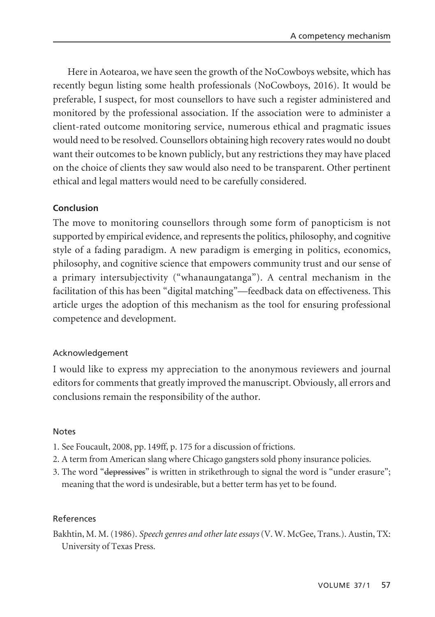Here in Aotearoa, we have seen the growth of the NoCowboys website, which has recently begun listing some health professionals (NoCowboys, 2016). It would be preferable, I suspect, for most counsellors to have such a register administered and monitored by the professional association. If the association were to administer a client-rated outcome monitoring service, numerous ethical and pragmatic issues would need to be resolved. Counsellors obtaining high recovery rates would no doubt want their outcomes to be known publicly, but any restrictions they may have placed on the choice of clients they saw would also need to be transparent. Other pertinent ethical and legal matters would need to be carefully considered.

# **Conclusion**

The move to monitoring counsellors through some form of panopticism is not supported by empirical evidence, and represents the politics, philosophy, and cognitive style of a fading paradigm. A new paradigm is emerging in politics, economics, philosophy, and cognitive science that empowers community trust and our sense of a primary intersubjectivity ("whanaungatanga"). A central mechanism in the facilitation of this has been "digital matching"—feedback data on effectiveness. This article urges the adoption of this mechanism as the tool for ensuring professional competence and development.

### Acknowledgement

I would like to express my appreciation to the anonymous reviewers and journal editors for comments that greatly improved the manuscript. Obviously, all errors and conclusions remain the responsibility of the author.

### Notes

- 1. See Foucault, 2008, pp. 149ff, p. 175 for a discussion of frictions.
- 2. A term from American slang where Chicago gangsters sold phony insurance policies.
- 3. The word "depressives" is written in strikethrough to signal the word is "under erasure"; meaning that the word is undesirable, but a better term has yet to be found.

### References

Bakhtin, M. M. (1986). *Speech genres and other late essays* (V. W. McGee, Trans.). Austin, TX: University of Texas Press.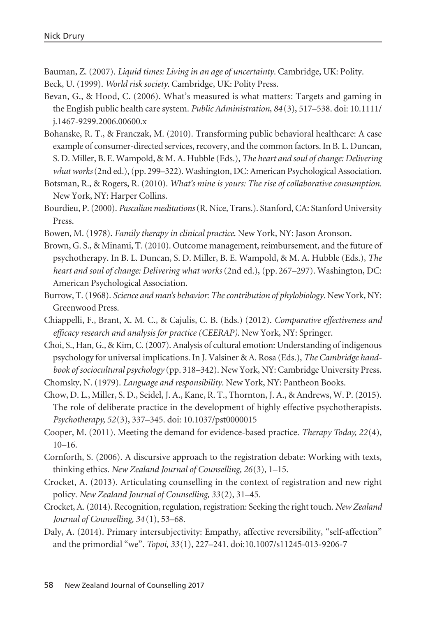Bauman, Z. (2007). *Liquid times: Living in an age of uncertainty*. Cambridge, UK: Polity. Beck, U. (1999). *World risk society*. Cambridge, UK: Polity Press.

- Bevan, G., & Hood, C. (2006). What's measured is what matters: Targets and gaming in the English public health care system. *Public Administration, 84* (3), 517–538. doi: 10.1111/ j.1467-9299.2006.00600.x
- Bohanske, R. T., & Franczak, M. (2010). Transforming public behavioral healthcare: A case example of consumer-directed services, recovery, and the common factors. In B. L. Duncan, S. D. Miller, B. E. Wampold, & M. A. Hubble (Eds.), *The heart and soul of change: Delivering what works*(2nd ed.), (pp. 299–322). Washington, DC: American Psychological Association.
- Botsman, R., & Rogers, R. (2010). *What's mine is yours: The rise of collaborative consumption.* New York, NY: Harper Collins.
- Bourdieu, P. (2000). *Pascalian meditations*(R. Nice, Trans.). Stanford, CA: Stanford University Press.
- Bowen, M. (1978). *Family therapy in clinical practice*. New York, NY: Jason Aronson.
- Brown, G. S., & Minami, T. (2010). Outcome management, reimbursement, and the future of psychotherapy. In B. L. Duncan, S. D. Miller, B. E. Wampold, & M. A. Hubble (Eds.), *The heart and soul of change: Delivering what works* (2nd ed.), (pp. 267–297). Washington, DC: American Psychological Association.
- Burrow, T. (1968). *Science and man's behavior: The contribution of phylobiology*. New York, NY: Greenwood Press.
- Chiappelli, F., Brant, X. M. C., & Cajulis, C. B. (Eds.) (2012). *Comparative effectiveness and efficacy research and analysis for practice (CEERAP)*. New York, NY: Springer.
- Choi, S., Han, G., & Kim, C. (2007). Analysis of cultural emotion: Understanding of indigenous psychology for universal implications. In J. Valsiner & A. Rosa (Eds.), *The Cambridge handbook of sociocultural psychology* (pp. 318–342). New York, NY: Cambridge University Press. Chomsky, N. (1979). *Language and responsibility*. New York, NY: Pantheon Books.
- Chow, D. L., Miller, S. D., Seidel, J. A., Kane, R. T., Thornton, J. A., & Andrews, W. P. (2015). The role of deliberate practice in the development of highly effective psychotherapists. *Psychotherapy, 52*(3), 337–345. doi: 10.1037/pst0000015
- Cooper, M. (2011). Meeting the demand for evidence-based practice. *Therapy Today, 22*(4),  $10-16.$
- Cornforth, S. (2006). A discursive approach to the registration debate: Working with texts, thinking ethics. *New Zealand Journal of Counselling, 26*(3), 1–15.
- Crocket, A. (2013). Articulating counselling in the context of registration and new right policy. *New Zealand Journal of Counselling, 33*(2), 31–45.
- Crocket, A. (2014). Recognition, regulation, registration: Seeking the right touch. *New Zealand Journal of Counselling, 34* (1), 53–68.
- Daly, A. (2014). Primary intersubjectivity: Empathy, affective reversibility, "self-affection" and the primordial "we". *Topoi, 33*(1), 227–241. doi:10.1007/s11245-013-9206-7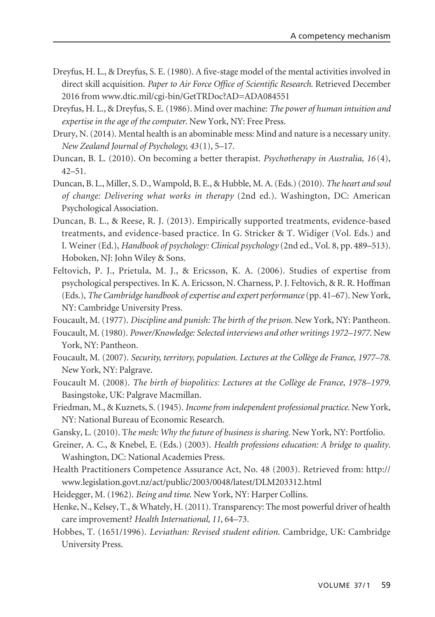- Dreyfus, H. L., & Dreyfus, S. E. (1980). A five-stage model of the mental activities involved in direct skill acquisition. *Paper to Air Force Office of Scientific Research*. Retrieved December 2016 from www.dtic.mil/cgi-bin/GetTRDoc?AD=ADA084551
- Dreyfus, H. L., & Dreyfus, S. E. (1986). Mind over machine: *The power of human intuition and expertise in the age of the computer*. New York, NY: Free Press.
- Drury, N. (2014). Mental health is an abominable mess: Mind and nature is a necessary unity. *New Zealand Journal of Psychology, 43*(1), 5–17.
- Duncan, B. L. (2010). On becoming a better therapist. *Psychotherapy in Australia, 16* (4), 42–51.
- Duncan, B. L., Miller, S. D., Wampold, B. E., & Hubble, M. A. (Eds.) (2010). *The heart and soul of change: Delivering what works in therapy* (2nd ed.). Washington, DC: American Psychological Association.
- Duncan, B. L., & Reese, R. J. (2013). Empirically supported treatments, evidence-based treatments, and evidence-based practice. In G. Stricker & T. Widiger (Vol. Eds.) and I. Weiner (Ed.), *Handbook of psychology: Clinical psychology* (2nd ed., Vol. 8, pp. 489–513). Hoboken, NJ: John Wiley & Sons.
- Feltovich, P. J., Prietula, M. J., & Ericsson, K. A. (2006). Studies of expertise from psychological perspectives. In K. A. Ericsson, N. Charness, P. J. Feltovich, & R. R. Hoffman (Eds.), *The Cambridge handbook of expertise and expert performance* (pp. 41–67). New York, NY: Cambridge University Press.

Foucault, M. (1977). *Discipline and punish: The birth of the prison.* New York, NY: Pantheon.

- Foucault, M. (1980). *Power/Knowledge: Selected interviews and other writings 1972–1977.* New York, NY: Pantheon.
- Foucault, M. (2007). *Security, territory, population. Lectures at the Collège de France, 1977–78*. New York, NY: Palgrave.
- Foucault M. (2008). *The birth of biopolitics: Lectures at the Collège de France, 1978–1979*. Basingstoke, UK: Palgrave Macmillan.
- Friedman, M., & Kuznets, S. (1945). *Income from independent professional practice*. New York, NY: National Bureau of Economic Research.
- Gansky, L. (2010). T*he mesh: Why the future of business is sharing.* New York, NY: Portfolio.
- Greiner, A. C., & Knebel, E. (Eds.) (2003). *Health professions education: A bridge to quality*. Washington, DC: National Academies Press.
- Health Practitioners Competence Assurance Act, No. 48 (2003). Retrieved from: http:// www.legislation.govt.nz/act/public/2003/0048/latest/DLM203312.html
- Heidegger, M. (1962). *Being and time*. New York, NY: Harper Collins.
- Henke, N., Kelsey, T., & Whately, H. (2011). Transparency: The most powerful driver of health care improvement? *Health International, 11*, 64–73.
- Hobbes, T. (1651/1996). *Leviathan: Revised student edition*. Cambridge, UK: Cambridge University Press.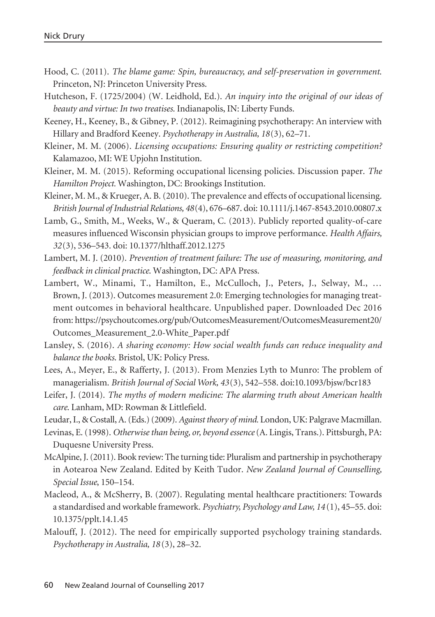- Hood, C. (2011). *The blame game: Spin, bureaucracy, and self-preservation in government*. Princeton, NJ: Princeton University Press.
- Hutcheson, F. (1725/2004) (W. Leidhold, Ed.). *An inquiry into the original of our ideas of beauty and virtue: In two treatises*. Indianapolis, IN: Liberty Funds.
- Keeney, H., Keeney, B., & Gibney, P. (2012). Reimagining psychotherapy: An interview with Hillary and Bradford Keeney. *Psychotherapy in Australia, 18*(3), 62–71.
- Kleiner, M. M. (2006). *Licensing occupations: Ensuring quality or restricting competition?* Kalamazoo, MI: WE Upjohn Institution.
- Kleiner, M. M. (2015). Reforming occupational licensing policies. Discussion paper. *The Hamilton Project.* Washington, DC: Brookings Institution.
- Kleiner, M. M., & Krueger, A. B. (2010). The prevalence and effects of occupational licensing. *British Journal of Industrial Relations, 48*(4), 676–687. doi: 10.1111/j.1467-8543.2010.00807.x
- Lamb, G., Smith, M., Weeks, W., & Queram, C. (2013). Publicly reported quality-of-care measures influenced Wisconsin physician groups to improve performance. *Health Affairs, 32*(3), 536–543. doi: 10.1377/hlthaff.2012.1275
- Lambert, M. J. (2010). *Prevention of treatment failure: The use of measuring, monitoring, and feedback in clinical practice*. Washington, DC: APA Press.
- Lambert, W., Minami, T., Hamilton, E., McCulloch, J., Peters, J., Selway, M., … Brown, J. (2013). Outcomes measurement 2.0: Emerging technologies for managing treatment outcomes in behavioral healthcare. Unpublished paper. Downloaded Dec 2016 from: https://psychoutcomes.org/pub/OutcomesMeasurement/OutcomesMeasurement20/ Outcomes\_Measurement\_2.0-White\_Paper.pdf
- Lansley, S. (2016). *A sharing economy: How social wealth funds can reduce inequality and balance the books*. Bristol, UK: Policy Press.
- Lees, A., Meyer, E., & Rafferty, J. (2013). From Menzies Lyth to Munro: The problem of managerialism. *British Journal of Social Work, 43*(3), 542–558. doi:10.1093/bjsw/bcr183
- Leifer, J. (2014). *The myths of modern medicine: The alarming truth about American health care*. Lanham, MD: Rowman & Littlefield.
- Leudar, I., & Costall, A. (Eds.) (2009). *Against theory of mind.* London, UK: Palgrave Macmillan.
- Levinas, E. (1998). *Otherwise than being, or, beyond essence*(A. Lingis, Trans.). Pittsburgh, PA: Duquesne University Press.
- McAlpine, J. (2011). Book review: The turning tide: Pluralism and partnership in psychotherapy in Aotearoa New Zealand. Edited by Keith Tudor. *New Zealand Journal of Counselling, Special Issue*, 150–154.
- Macleod, A., & McSherry, B. (2007). Regulating mental healthcare practitioners: Towards a standardised and workable framework. *Psychiatry, Psychology and Law, 14* (1), 45–55. doi: 10.1375/pplt.14.1.45
- Malouff, J. (2012). The need for empirically supported psychology training standards. *Psychotherapy in Australia, 18* (3), 28–32.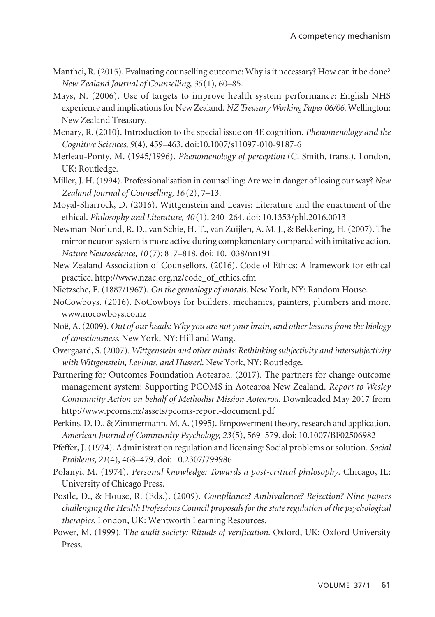- Manthei, R. (2015). Evaluating counselling outcome: Why is it necessary? How can it be done? *New Zealand Journal of Counselling, 35*(1), 60–85.
- Mays, N. (2006). Use of targets to improve health system performance: English NHS experience and implications for New Zealand. *NZ Treasury Working Paper 06/06*. Wellington: New Zealand Treasury.
- Menary, R. (2010). Introduction to the special issue on 4E cognition. *Phenomenology and the Cognitive Sciences, 9*(4), 459–463. doi:10.1007/s11097-010-9187-6
- Merleau-Ponty, M. (1945/1996). *Phenomenology of perception* (C. Smith, trans.). London, UK: Routledge.
- Miller, J. H. (1994). Professionalisation in counselling: Are we in danger of losing our way? *New Zealand Journal of Counselling, 16* (2), 7–13.
- Moyal-Sharrock, D. (2016). Wittgenstein and Leavis: Literature and the enactment of the ethical. *Philosophy and Literature, 40* (1), 240–264. doi: 10.1353/phl.2016.0013
- Newman-Norlund, R. D., van Schie, H. T., van Zuijlen, A. M. J., & Bekkering, H. (2007). The mirror neuron system is more active during complementary compared with imitative action. *Nature Neuroscience, 10* (7): 817–818. doi: 10.1038/nn1911
- New Zealand Association of Counsellors. (2016). Code of Ethics: A framework for ethical practice. http://www.nzac.org.nz/code\_of\_ethics.cfm
- Nietzsche, F. (1887/1967). *On the genealogy of morals*. New York, NY: Random House.
- NoCowboys. (2016). NoCowboys for builders, mechanics, painters, plumbers and more. www.nocowboys.co.nz
- Noë, A. (2009). *Out of our heads: Why you are not your brain, and other lessons from the biology of consciousness*. New York, NY: Hill and Wang.
- Overgaard, S. (2007). *Wittgenstein and other minds: Rethinking subjectivity and intersubjectivity with Wittgenstein, Levinas, and Husserl*. New York, NY: Routledge.
- Partnering for Outcomes Foundation Aotearoa. (2017). The partners for change outcome management system: Supporting PCOMS in Aotearoa New Zealand. *Report to Wesley Community Action on behalf of Methodist Mission Aotearoa.* Downloaded May 2017 from http://www.pcoms.nz/assets/pcoms-report-document.pdf
- Perkins, D. D., & Zimmermann, M. A. (1995). Empowerment theory, research and application. *American Journal of Community Psychology, 23*(5), 569–579. doi: 10.1007/BF02506982
- Pfeffer, J. (1974). Administration regulation and licensing: Social problems or solution. *Social Problems, 21*(4), 468–479. doi: 10.2307/799986
- Polanyi, M. (1974). *Personal knowledge: Towards a post-critical philosophy*. Chicago, IL: University of Chicago Press.
- Postle, D., & House, R. (Eds.). (2009). *Compliance? Ambivalence? Rejection? Nine papers challenging the Health Professions Council proposals for the state regulation of the psycho logical therapies*. London, UK: Wentworth Learning Resources.
- Power, M. (1999). T*he audit society: Rituals of verification.* Oxford, UK: Oxford University Press.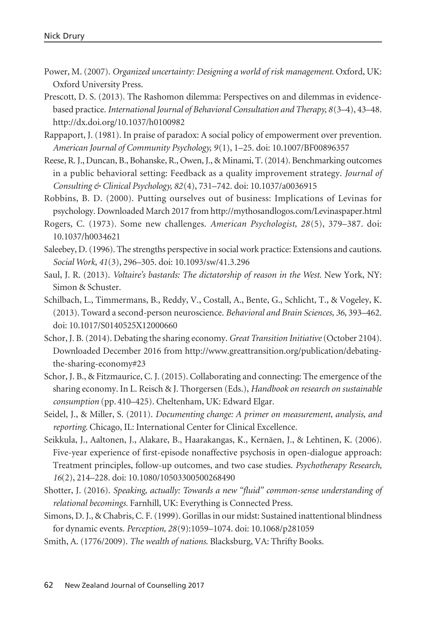- Power, M. (2007). *Organized uncertainty: Designing a world of risk management*. Oxford, UK: Oxford University Press.
- Prescott, D. S. (2013). The Rashomon dilemma: Perspectives on and dilemmas in evidencebased practice. *International Journal of Behavioral Consultation and Therapy, 8*(3–4), 43–48. http://dx.doi.org/10.1037/h0100982
- Rappaport, J. (1981). In praise of paradox: A social policy of empowerment over prevention. *American Journal of Community Psychology, 9*(1), 1–25. doi: 10.1007/BF00896357
- Reese, R. J., Duncan, B., Bohanske, R., Owen, J., & Minami, T. (2014). Benchmarking outcomes in a public behavioral setting: Feedback as a quality improvement strategy. *Journal of Consulting & Clinical Psychology, 82*(4), 731–742. doi: 10.1037/a0036915
- Robbins, B. D. (2000). Putting ourselves out of business: Implications of Levinas for psychology. Downloaded March 2017 from http://mythosandlogos.com/Levinaspaper.html
- Rogers, C. (1973). Some new challenges. *American Psychologist, 28*(5), 379–387. doi: 10.1037/h0034621
- Saleebey, D. (1996). The strengths perspective in social work practice: Extensions and cautions. *Social Work, 41*(3), 296–305. doi: 10.1093/sw/41.3.296
- Saul, J. R. (2013). *Voltaire's bastards: The dictatorship of reason in the West*. New York, NY: Simon & Schuster.
- Schilbach, L., Timmermans, B., Reddy, V., Costall, A., Bente, G., Schlicht, T., & Vogeley, K. (2013). Toward a second-person neuroscience. *Behavioral and Brain Sciences, 36*, 393–462. doi: 10.1017/S0140525X12000660
- Schor, J. B. (2014). Debating the sharing economy. *Great Transition Initiative*(October 2104). Downloaded December 2016 from http://www.greattransition.org/publication/debatingthe-sharing-economy#23
- Schor, J. B., & Fitzmaurice, C. J. (2015). Collaborating and connecting: The emergence of the sharing economy. In L. Reisch & J. Thorgersen (Eds.), *Handbook on research on sustainable consumption* (pp. 410–425). Cheltenham, UK: Edward Elgar.
- Seidel, J., & Miller, S. (2011). *Documenting change: A primer on measurement, analysis, and reporting*. Chicago, IL: International Center for Clinical Excellence.
- Seikkula, J., Aaltonen, J., Alakare, B., Haarakangas, K., Kernäen, J., & Lehtinen, K. (2006). Five-year experience of first-episode nonaffective psychosis in open-dialogue approach: Treatment principles, follow-up outcomes, and two case studies. *Psychotherapy Research, 16*(2), 214–228. doi: 10.1080/10503300500268490
- Shotter, J. (2016). *Speaking, actually: Towards a new "fluid" common-sense understanding of relational becomings.* Farnhill, UK: Everything is Connected Press.
- Simons, D. J., & Chabris, C. F. (1999). Gorillas in our midst: Sustained inattentional blindness for dynamic events. *Perception, 28*(9):1059–1074. doi: 10.1068/p281059
- Smith, A. (1776/2009). *The wealth of nations*. Blacksburg, VA: Thrifty Books.